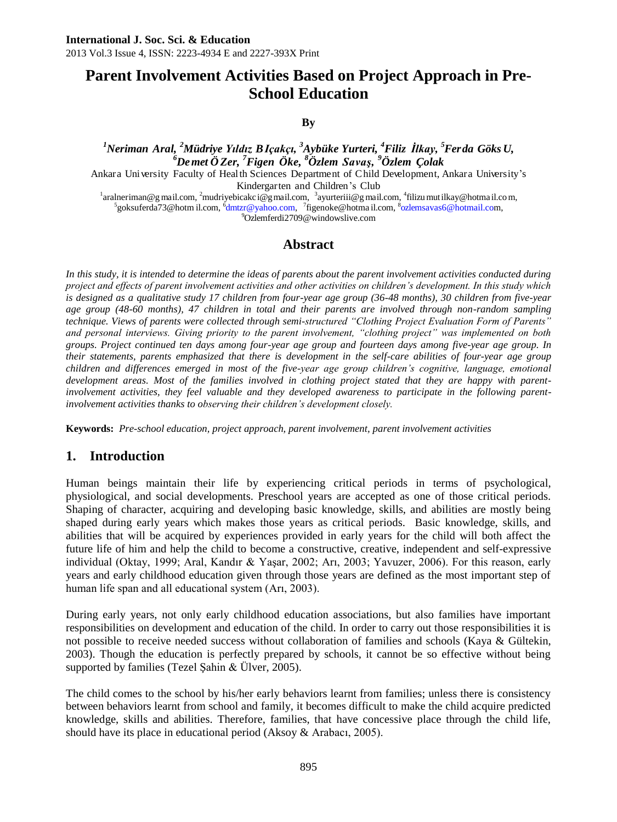# **Parent Involvement Activities Based on Project Approach in Pre-School Education**

**By**

*<sup>1</sup>Neriman Aral, <sup>2</sup>Müdriye Yıldız BIçakçı, <sup>3</sup>Aybüke Yurteri, <sup>4</sup>Filiz İlkay, <sup>5</sup>Ferda Göks U, <sup>6</sup>Demet Ö Zer, <sup>7</sup>Figen Öke, <sup>8</sup>Özlem Savaş, <sup>9</sup>Özlem Çolak* Ankara University Faculty of Health Sciences Department of Child Development, Ankara University's

Kindergarten and Children's Club

<sup>1</sup>[aralneriman@g](mailto:aralneriman@gmail.com) mail.com, <sup>2</sup>[mudriyebicakc](mailto:mudriyebicakci@gmail.com) i@g mail.com, <sup>3</sup>[ayurteriii@g](mailto:ayurteriii@gmail.com) mail.com, <sup>4</sup>filizu mutilkay@hotmail.com, <sup>5</sup>[goksuferda73@hotm](mailto:goksuferda73@hotmail.co) il.com, <sup>6</sup>[dmtzr@yahoo.com,](mailto:dmtzr@yahoo.com) <sup>7</sup>[figenoke@hotma](mailto:figenoke@hotmail.com) il.com, <sup>8</sup>[ozlemsavas6@hotmail.com](mailto:ozlemsavas6@hotmail.co), <sup>9</sup>Ozlemfer[di2709@windowslive.com](mailto:i2709@windowslive.co)

### **Abstract**

*In this study, it is intended to determine the ideas of parents about the parent involvement activities conducted during project and effects of parent involvement activities and other activities on children's development. In this study which is designed as a qualitative study 17 children from four-year age group (36-48 months), 30 children from five-year age group (48-60 months), 47 children in total and their parents are involved through non-random sampling technique. Views of parents were collected through semi-structured "Clothing Project Evaluation Form of Parents" and personal interviews. Giving priority to the parent involvement, "clothing project" was implemented on both groups. Project continued ten days among four-year age group and fourteen days among five-year age group. In their statements, parents emphasized that there is development in the self-care abilities of four-year age group children and differences emerged in most of the five-year age group children's cognitive, language, emotional development areas. Most of the families involved in clothing project stated that they are happy with parentinvolvement activities, they feel valuable and they developed awareness to participate in the following parentinvolvement activities thanks to observing their children's development closely.* 

**Keywords:** *Pre-school education, project approach, parent involvement, parent involvement activities*

## **1. Introduction**

Human beings maintain their life by experiencing critical periods in terms of psychological, physiological, and social developments. Preschool years are accepted as one of those critical periods. Shaping of character, acquiring and developing basic knowledge, skills, and abilities are mostly being shaped during early years which makes those years as critical periods. Basic knowledge, skills, and abilities that will be acquired by experiences provided in early years for the child will both affect the future life of him and help the child to become a constructive, creative, independent and self-expressive individual (Oktay, 1999; Aral, Kandır & Yaşar, 2002; Arı, 2003; Yavuzer, 2006). For this reason, early years and early childhood education given through those years are defined as the most important step of human life span and all educational system (Arı, 2003).

During early years, not only early childhood education associations, but also families have important responsibilities on development and education of the child. In order to carry out those responsibilities it is not possible to receive needed success without collaboration of families and schools (Kaya & Gültekin, 2003). Though the education is perfectly prepared by schools, it cannot be so effective without being supported by families (Tezel Şahin & Ülver, 2005).

The child comes to the school by his/her early behaviors learnt from families; unless there is consistency between behaviors learnt from school and family, it becomes difficult to make the child acquire predicted knowledge, skills and abilities. Therefore, families, that have concessive place through the child life, should have its place in educational period (Aksoy & Arabacı, 2005).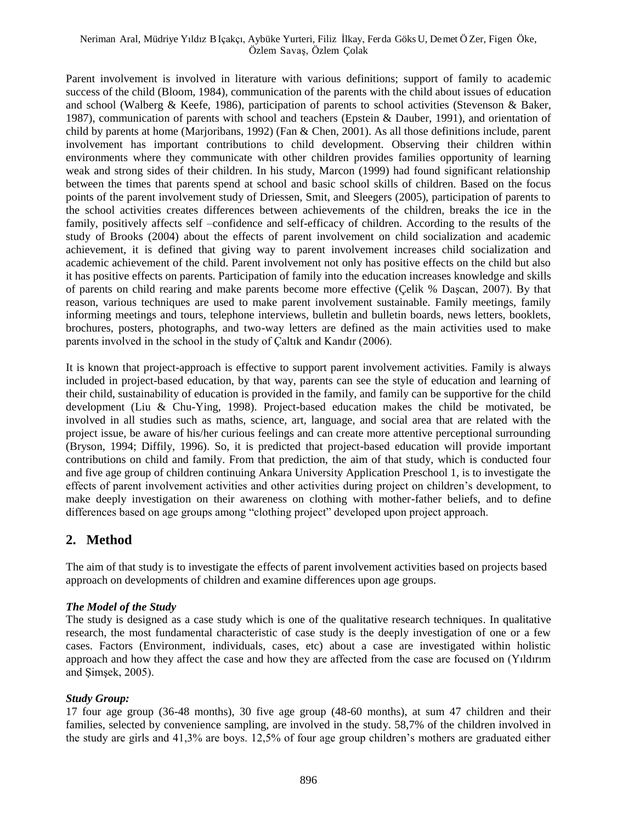#### Neriman Aral, Müdriye Yıldız BIçakçı, Aybüke Yurteri, Filiz İlkay, Ferda Göks U, Demet Ö Zer, Figen Öke, Özlem Savaş, Özlem Çolak

Parent involvement is involved in literature with various definitions; support of family to academic success of the child (Bloom, 1984), communication of the parents with the child about issues of education and school (Walberg & Keefe, 1986), participation of parents to school activities (Stevenson & Baker, 1987), communication of parents with school and teachers (Epstein & Dauber, 1991), and orientation of child by parents at home (Marjoribans, 1992) (Fan & Chen, 2001). As all those definitions include, parent involvement has important contributions to child development. Observing their children within environments where they communicate with other children provides families opportunity of learning weak and strong sides of their children. In his study, Marcon (1999) had found significant relationship between the times that parents spend at school and basic school skills of children. Based on the focus points of the parent involvement study of Driessen, Smit, and Sleegers (2005), participation of parents to the school activities creates differences between achievements of the children, breaks the ice in the family, positively affects self –confidence and self-efficacy of children. According to the results of the study of Brooks (2004) about the effects of parent involvement on child socialization and academic achievement, it is defined that giving way to parent involvement increases child socialization and academic achievement of the child. Parent involvement not only has positive effects on the child but also it has positive effects on parents. Participation of family into the education increases knowledge and skills of parents on child rearing and make parents become more effective (Çelik % Daşcan, 2007). By that reason, various techniques are used to make parent involvement sustainable. Family meetings, family informing meetings and tours, telephone interviews, bulletin and bulletin boards, news letters, booklets, brochures, posters, photographs, and two-way letters are defined as the main activities used to make parents involved in the school in the study of Çaltık and Kandır (2006).

It is known that project-approach is effective to support parent involvement activities. Family is always included in project-based education, by that way, parents can see the style of education and learning of their child, sustainability of education is provided in the family, and family can be supportive for the child development (Liu & Chu-Ying, 1998). Project-based education makes the child be motivated, be involved in all studies such as maths, science, art, language, and social area that are related with the project issue, be aware of his/her curious feelings and can create more attentive perceptional surrounding (Bryson, 1994; Diffily, 1996). So, it is predicted that project-based education will provide important contributions on child and family. From that prediction, the aim of that study, which is conducted four and five age group of children continuing Ankara University Application Preschool 1, is to investigate the effects of parent involvement activities and other activities during project on children's development, to make deeply investigation on their awareness on clothing with mother-father beliefs, and to define differences based on age groups among "clothing project" developed upon project approach.

### **2. Method**

The aim of that study is to investigate the effects of parent involvement activities based on projects based approach on developments of children and examine differences upon age groups.

#### *The Model of the Study*

The study is designed as a case study which is one of the qualitative research techniques. In qualitative research, the most fundamental characteristic of case study is the deeply investigation of one or a few cases. Factors (Environment, individuals, cases, etc) about a case are investigated within holistic approach and how they affect the case and how they are affected from the case are focused on (Yıldırım and Şimşek, 2005).

#### *Study Group:*

17 four age group (36-48 months), 30 five age group (48-60 months), at sum 47 children and their families, selected by convenience sampling, are involved in the study. 58,7% of the children involved in the study are girls and 41,3% are boys. 12,5% of four age group children's mothers are graduated either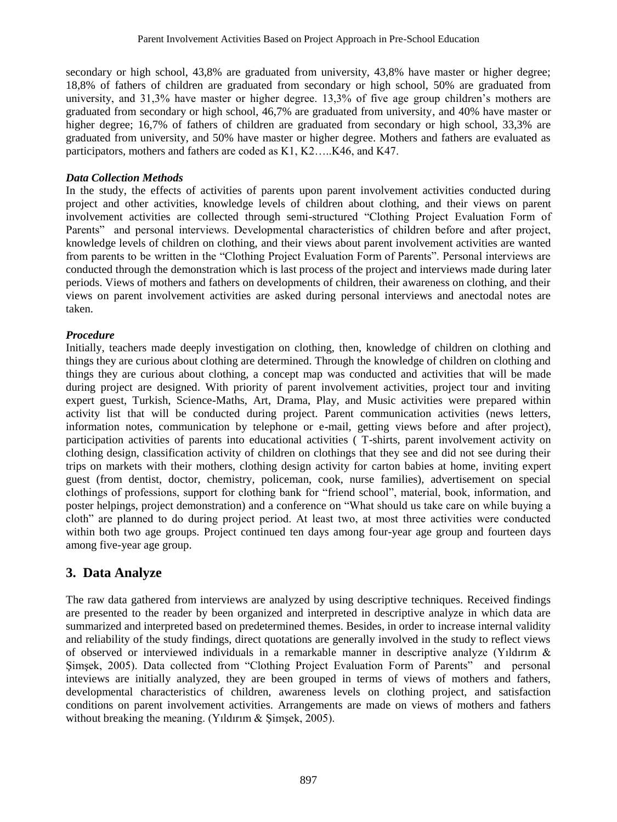secondary or high school, 43,8% are graduated from university, 43,8% have master or higher degree; 18,8% of fathers of children are graduated from secondary or high school, 50% are graduated from university, and 31,3% have master or higher degree. 13,3% of five age group children's mothers are graduated from secondary or high school, 46,7% are graduated from university, and 40% have master or higher degree; 16,7% of fathers of children are graduated from secondary or high school, 33,3% are graduated from university, and 50% have master or higher degree. Mothers and fathers are evaluated as participators, mothers and fathers are coded as K1, K2…..K46, and K47.

#### *Data Collection Methods*

In the study, the effects of activities of parents upon parent involvement activities conducted during project and other activities, knowledge levels of children about clothing, and their views on parent involvement activities are collected through semi-structured "Clothing Project Evaluation Form of Parents" and personal interviews. Developmental characteristics of children before and after project, knowledge levels of children on clothing, and their views about parent involvement activities are wanted from parents to be written in the "Clothing Project Evaluation Form of Parents". Personal interviews are conducted through the demonstration which is last process of the project and interviews made during later periods. Views of mothers and fathers on developments of children, their awareness on clothing, and their views on parent involvement activities are asked during personal interviews and anectodal notes are taken.

#### *Procedure*

Initially, teachers made deeply investigation on clothing, then, knowledge of children on clothing and things they are curious about clothing are determined. Through the knowledge of children on clothing and things they are curious about clothing, a concept map was conducted and activities that will be made during project are designed. With priority of parent involvement activities, project tour and inviting expert guest, Turkish, Science-Maths, Art, Drama, Play, and Music activities were prepared within activity list that will be conducted during project. Parent communication activities (news letters, information notes, communication by telephone or e-mail, getting views before and after project), participation activities of parents into educational activities ( T-shirts, parent involvement activity on clothing design, classification activity of children on clothings that they see and did not see during their trips on markets with their mothers, clothing design activity for carton babies at home, inviting expert guest (from dentist, doctor, chemistry, policeman, cook, nurse families), advertisement on special clothings of professions, support for clothing bank for "friend school", material, book, information, and poster helpings, project demonstration) and a conference on "What should us take care on while buying a cloth" are planned to do during project period. At least two, at most three activities were conducted within both two age groups. Project continued ten days among four-year age group and fourteen days among five-year age group.

### **3. Data Analyze**

The raw data gathered from interviews are analyzed by using descriptive techniques. Received findings are presented to the reader by been organized and interpreted in descriptive analyze in which data are summarized and interpreted based on predetermined themes. Besides, in order to increase internal validity and reliability of the study findings, direct quotations are generally involved in the study to reflect views of observed or interviewed individuals in a remarkable manner in descriptive analyze (Yıldırım & Şimşek, 2005). Data collected from "Clothing Project Evaluation Form of Parents" and personal inteviews are initially analyzed, they are been grouped in terms of views of mothers and fathers, developmental characteristics of children, awareness levels on clothing project, and satisfaction conditions on parent involvement activities. Arrangements are made on views of mothers and fathers without breaking the meaning. (Yıldırım & Simsek, 2005).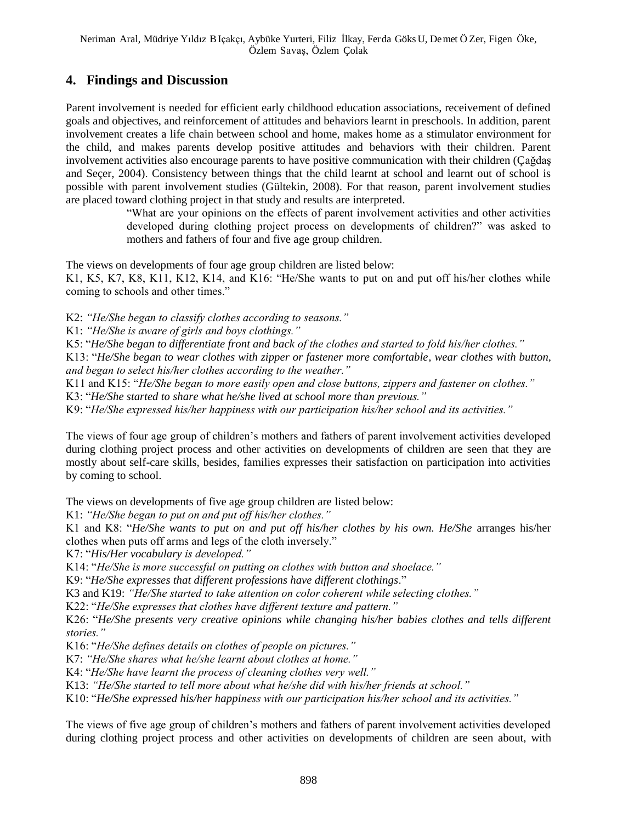# **4. Findings and Discussion**

Parent involvement is needed for efficient early childhood education associations, receivement of defined goals and objectives, and reinforcement of attitudes and behaviors learnt in preschools. In addition, parent involvement creates a life chain between school and home, makes home as a stimulator environment for the child, and makes parents develop positive attitudes and behaviors with their children. Parent involvement activities also encourage parents to have positive communication with their children (Çağdaş and Seçer, 2004). Consistency between things that the child learnt at school and learnt out of school is possible with parent involvement studies (Gültekin, 2008). For that reason, parent involvement studies are placed toward clothing project in that study and results are interpreted.

> "What are your opinions on the effects of parent involvement activities and other activities developed during clothing project process on developments of children?" was asked to mothers and fathers of four and five age group children.

The views on developments of four age group children are listed below:

K1, K5, K7, K8, K11, K12, K14, and K16: "He/She wants to put on and put off his/her clothes while coming to schools and other times."

K2: *"He/She began to classify clothes according to seasons."*

K1: *"He/She is aware of girls and boys clothings."*

K5: "*He/She began to differentiate front and back of the clothes and started to fold his/her clothes."*

K13: "*He/She began to wear clothes with zipper or fastener more comfortable, wear clothes with button, and began to select his/her clothes according to the weather."*

K11 and K15: "*He/She began to more easily open and close buttons, zippers and fastener on clothes."* K3: "*He/She started to share what he/she lived at school more than previous."*

K9: "*He/She expressed his/her happiness with our participation his/her school and its activities."*

The views of four age group of children's mothers and fathers of parent involvement activities developed during clothing project process and other activities on developments of children are seen that they are mostly about self-care skills, besides, families expresses their satisfaction on participation into activities by coming to school.

The views on developments of five age group children are listed below:

K1: *"He/She began to put on and put off his/her clothes."*

K1 and K8: "*He/She wants to put on and put off his/her clothes by his own. He/She* arranges his/her clothes when puts off arms and legs of the cloth inversely."

K7: "*His/Her vocabulary is developed."*

K14: "*He/She is more successful on putting on clothes with button and shoelace."*

K9: "*He/She expresses that different professions have different clothings*."

K3 and K19: *"He/She started to take attention on color coherent while selecting clothes."*

K22: "*He/She expresses that clothes have different texture and pattern."*

K26: "*He/She presents very creative opinions while changing his/her babies clothes and tells different stories."*

K16: "*He/She defines details on clothes of people on pictures."*

K7: *"He/She shares what he/she learnt about clothes at home."*

K4: "*He/She have learnt the process of cleaning clothes very well."*

K13: *"He/She started to tell more about what he/she did with his/her friends at school."*

K10: "*He/She expressed his/her happiness with our participation his/her school and its activities."*

The views of five age group of children's mothers and fathers of parent involvement activities developed during clothing project process and other activities on developments of children are seen about, with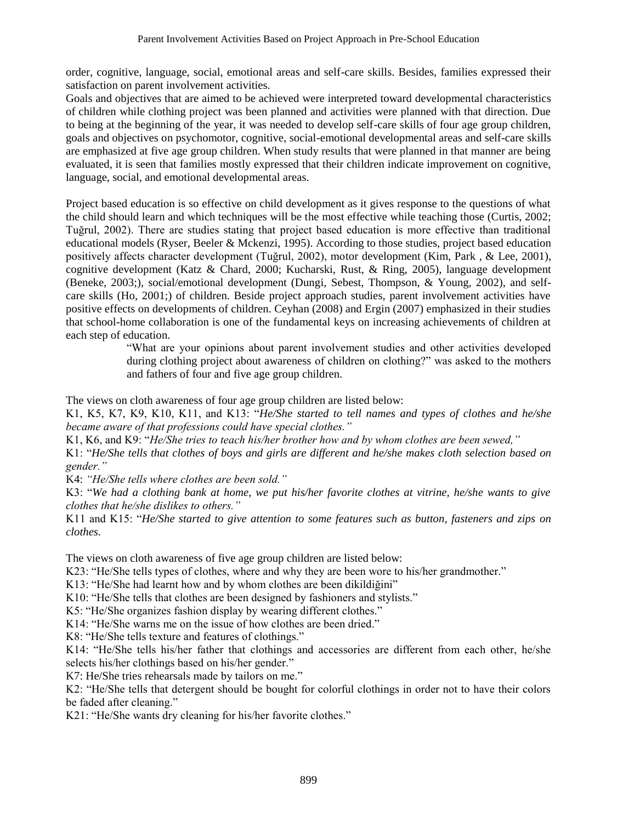order, cognitive, language, social, emotional areas and self-care skills. Besides, families expressed their satisfaction on parent involvement activities.

Goals and objectives that are aimed to be achieved were interpreted toward developmental characteristics of children while clothing project was been planned and activities were planned with that direction. Due to being at the beginning of the year, it was needed to develop self-care skills of four age group children, goals and objectives on psychomotor, cognitive, social-emotional developmental areas and self-care skills are emphasized at five age group children. When study results that were planned in that manner are being evaluated, it is seen that families mostly expressed that their children indicate improvement on cognitive, language, social, and emotional developmental areas.

Project based education is so effective on child development as it gives response to the questions of what the child should learn and which techniques will be the most effective while teaching those (Curtis, 2002; Tuğrul, 2002). There are studies stating that project based education is more effective than traditional educational models (Ryser, Beeler & Mckenzi, 1995). According to those studies, project based education positively affects character development (Tuğrul, 2002), motor development (Kim, Park , & Lee, 2001), cognitive development (Katz & Chard, 2000; Kucharski, Rust, & Ring, 2005), language development (Beneke, 2003;), social/emotional development (Dungi, Sebest, Thompson, & Young, 2002), and selfcare skills (Ho, 2001;) of children. Beside project approach studies, parent involvement activities have positive effects on developments of children. Ceyhan (2008) and Ergin (2007) emphasized in their studies that school-home collaboration is one of the fundamental keys on increasing achievements of children at each step of education.

> "What are your opinions about parent involvement studies and other activities developed during clothing project about awareness of children on clothing?" was asked to the mothers and fathers of four and five age group children.

The views on cloth awareness of four age group children are listed below:

K1, K5, K7, K9, K10, K11, and K13: "*He/She started to tell names and types of clothes and he/she became aware of that professions could have special clothes."*

K1, K6, and K9: "*He/She tries to teach his/her brother how and by whom clothes are been sewed,"*

K1: "*He/She tells that clothes of boys and girls are different and he/she makes cloth selection based on gender."*

K4: *"He/She tells where clothes are been sold."*

K3: "*We had a clothing bank at home, we put his/her favorite clothes at vitrine, he/she wants to give clothes that he/she dislikes to others."*

K11 and K15: "*He/She started to give attention to some features such as button, fasteners and zips on clothes.*

The views on cloth awareness of five age group children are listed below:

K23: "He/She tells types of clothes, where and why they are been wore to his/her grandmother."

K13: "He/She had learnt how and by whom clothes are been dikildiğini"

K10: "He/She tells that clothes are been designed by fashioners and stylists."

K5: "He/She organizes fashion display by wearing different clothes."

K14: "He/She warns me on the issue of how clothes are been dried."

K8: "He/She tells texture and features of clothings."

K14: "He/She tells his/her father that clothings and accessories are different from each other, he/she selects his/her clothings based on his/her gender."

K7: He/She tries rehearsals made by tailors on me."

K2: "He/She tells that detergent should be bought for colorful clothings in order not to have their colors be faded after cleaning."

K21: "He/She wants dry cleaning for his/her favorite clothes."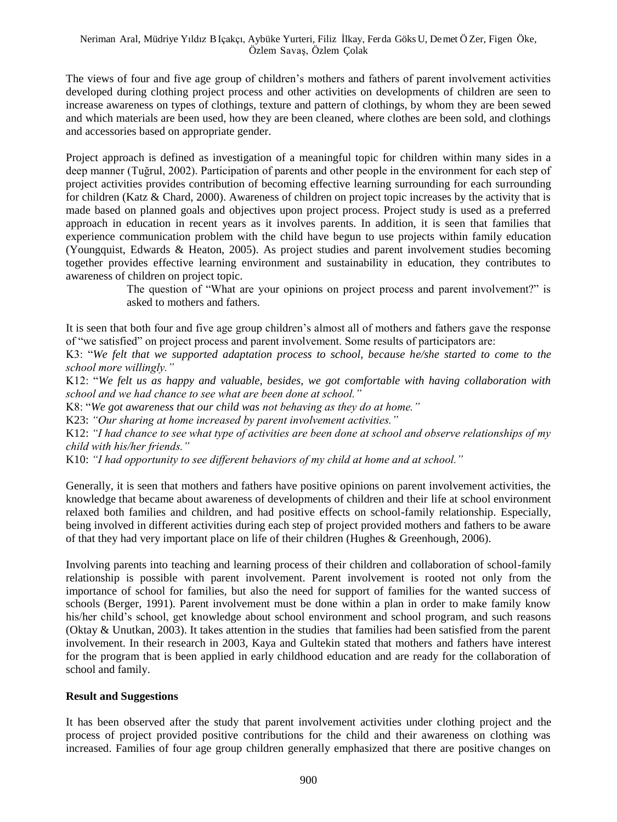The views of four and five age group of children's mothers and fathers of parent involvement activities developed during clothing project process and other activities on developments of children are seen to increase awareness on types of clothings, texture and pattern of clothings, by whom they are been sewed and which materials are been used, how they are been cleaned, where clothes are been sold, and clothings and accessories based on appropriate gender.

Project approach is defined as investigation of a meaningful topic for children within many sides in a deep manner (Tuğrul, 2002). Participation of parents and other people in the environment for each step of project activities provides contribution of becoming effective learning surrounding for each surrounding for children (Katz & Chard, 2000). Awareness of children on project topic increases by the activity that is made based on planned goals and objectives upon project process. Project study is used as a preferred approach in education in recent years as it involves parents. In addition, it is seen that families that experience communication problem with the child have begun to use projects within family education (Youngquist, Edwards & Heaton, 2005). As project studies and parent involvement studies becoming together provides effective learning environment and sustainability in education, they contributes to awareness of children on project topic.

> The question of "What are your opinions on project process and parent involvement?" is asked to mothers and fathers.

It is seen that both four and five age group children's almost all of mothers and fathers gave the response of "we satisfied" on project process and parent involvement. Some results of participators are:

K3: "*We felt that we supported adaptation process to school, because he/she started to come to the school more willingly."*

K12: "*We felt us as happy and valuable, besides, we got comfortable with having collaboration with school and we had chance to see what are been done at school."*

K8: "*We got awareness that our child was not behaving as they do at home."*

K23: *"Our sharing at home increased by parent involvement activities."*

K12: *"I had chance to see what type of activities are been done at school and observe relationships of my child with his/her friends."*

K10: *"I had opportunity to see different behaviors of my child at home and at school."*

Generally, it is seen that mothers and fathers have positive opinions on parent involvement activities, the knowledge that became about awareness of developments of children and their life at school environment relaxed both families and children, and had positive effects on school-family relationship. Especially, being involved in different activities during each step of project provided mothers and fathers to be aware of that they had very important place on life of their children (Hughes & Greenhough, 2006).

Involving parents into teaching and learning process of their children and collaboration of school-family relationship is possible with parent involvement. Parent involvement is rooted not only from the importance of school for families, but also the need for support of families for the wanted success of schools (Berger, 1991). Parent involvement must be done within a plan in order to make family know his/her child's school, get knowledge about school environment and school program, and such reasons (Oktay & Unutkan, 2003). It takes attention in the studies that families had been satisfied from the parent involvement. In their research in 2003, Kaya and Gultekin stated that mothers and fathers have interest for the program that is been applied in early childhood education and are ready for the collaboration of school and family.

#### **Result and Suggestions**

It has been observed after the study that parent involvement activities under clothing project and the process of project provided positive contributions for the child and their awareness on clothing was increased. Families of four age group children generally emphasized that there are positive changes on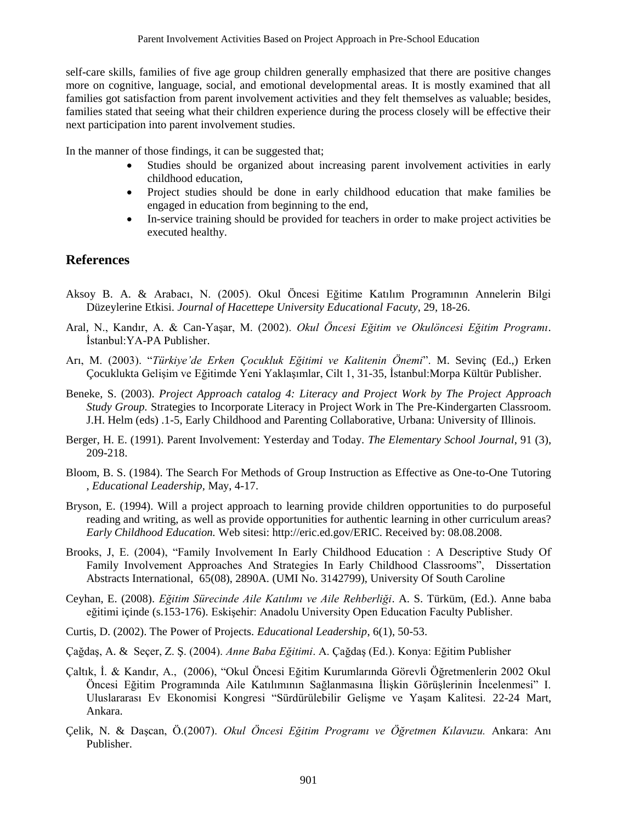self-care skills, families of five age group children generally emphasized that there are positive changes more on cognitive, language, social, and emotional developmental areas. It is mostly examined that all families got satisfaction from parent involvement activities and they felt themselves as valuable; besides, families stated that seeing what their children experience during the process closely will be effective their next participation into parent involvement studies.

In the manner of those findings, it can be suggested that;

- Studies should be organized about increasing parent involvement activities in early childhood education,
- Project studies should be done in early childhood education that make families be engaged in education from beginning to the end,
- In-service training should be provided for teachers in order to make project activities be executed healthy.

### **References**

- Aksoy B. A. & Arabacı, N. (2005). Okul Öncesi Eğitime Katılım Programının Annelerin Bilgi Düzeylerine Etkisi. *Journal of Hacettepe University Educational Facuty*, 29, 18-26.
- Aral, N., Kandır, A. & Can-Yaşar, M. (2002). *Okul Öncesi Eğitim ve Okulöncesi Eğitim Programı*. İstanbul:YA-PA Publisher.
- Arı, M. (2003). "*Türkiye'de Erken Çocukluk Eğitimi ve Kalitenin Önemi*". M. Sevinç (Ed.,) Erken Çocuklukta Gelişim ve Eğitimde Yeni Yaklaşımlar, Cilt 1, 31-35, İstanbul:Morpa Kültür Publisher.
- Beneke, S. (2003). *Project Approach catalog 4: Literacy and Project Work by The Project Approach Study Group.* Strategies to Incorporate Literacy in Project Work in The Pre-Kindergarten Classroom. J.H. Helm (eds) .1-5, Early Childhood and Parenting Collaborative, Urbana: University of Illinois.
- Berger, H. E. (1991). Parent Involvement: Yesterday and Today. *The Elementary School Journal*, 91 (3), 209-218.
- Bloom, B. S. (1984). The Search For Methods of Group Instruction as Effective as One-to-One Tutoring , *Educational Leadership,* May, 4-17.
- Bryson, E. (1994). Will a project approach to learning provide children opportunities to do purposeful reading and writing, as well as provide opportunities for authentic learning in other curriculum areas? *Early Childhood Education.* Web sitesi: http://eric.ed.gov/ERIC. Received by: 08.08.2008.
- Brooks, J, E. (2004), "Family Involvement In Early Childhood Education : A Descriptive Study Of Family Involvement Approaches And Strategies In Early Childhood Classrooms", Dissertation Abstracts International, 65(08), 2890A. (UMI No. 3142799), University Of South Caroline
- Ceyhan, E. (2008). *Eğitim Sürecinde Aile Katılımı ve Aile Rehberliği*. A. S. Türküm, (Ed.). Anne baba eğitimi içinde (s.153-176). Eskişehir: Anadolu University Open Education Faculty Publisher.
- Curtis, D. (2002). The Power of Projects*. Educational Leadership*, 6(1), 50-53.
- Çağdaş, A. & Seçer, Z. Ş. (2004). *Anne Baba Eğitimi*. A. Çağdaş (Ed.). Konya: Eğitim Publisher
- Çaltık, İ. & Kandır, A., (2006), "Okul Öncesi Eğitim Kurumlarında Görevli Öğretmenlerin 2002 Okul Öncesi Eğitim Programında Aile Katılımının Sağlanmasına İlişkin Görüşlerinin İncelenmesi" I. Uluslararası Ev Ekonomisi Kongresi "Sürdürülebilir Gelişme ve Yaşam Kalitesi. 22-24 Mart, Ankara.
- Çelik, N. & Daşcan, Ö.(2007). *Okul Öncesi Eğitim Programı ve Öğretmen Kılavuzu.* Ankara: Anı Publisher.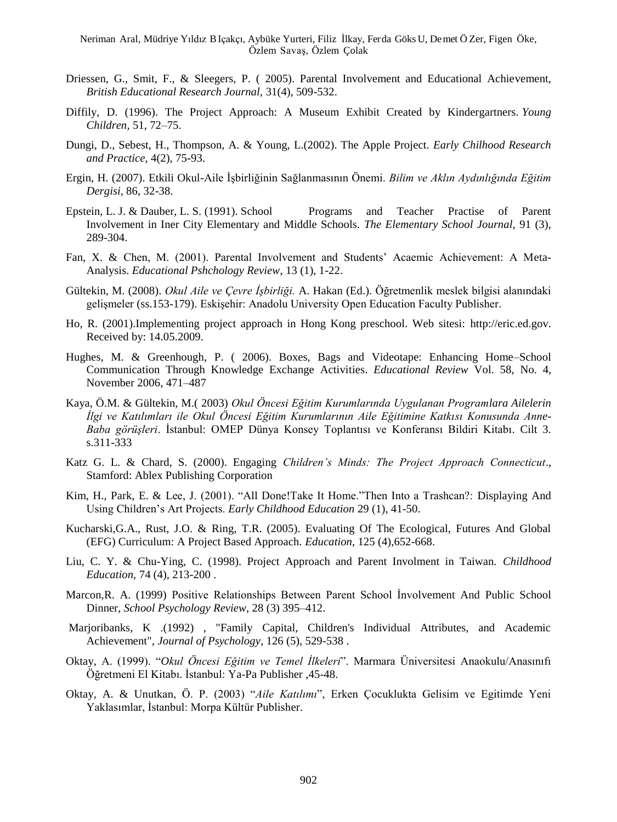- Driessen, G., Smit, F., & Sleegers, P. ( 2005). Parental Involvement and Educational Achievement, *British Educational Research Journal,* 31(4), 509-532.
- Diffily, D. (1996). The Project Approach: A Museum Exhibit Created by Kindergartners. *Young Children,* 51, 72–75.
- Dungi, D., Sebest, H., Thompson, A. & Young, L.(2002). The Apple Project*. Early Chilhood Research and Practice,* 4(2), 75-93.
- Ergin, H. (2007). Etkili Okul-Aile İşbirliğinin Sağlanmasının Önemi. *Bilim ve Aklın Aydınlığında Eğitim Dergisi*, 86, 32-38.
- Epstein, L. J. & Dauber, L. S. (1991). School Programs and Teacher Practise of Parent Involvement in Iner City Elementary and Middle Schools. *The Elementary School Journal,* 91 (3), 289-304.
- Fan, X. & Chen, M. (2001). Parental Involvement and Students' Acaemic Achievement: A Meta-Analysis. *Educational Pshchology Review*, 13 (1), 1-22.
- Gültekin, M. (2008). *Okul Aile ve Çevre İşbirliği.* A. Hakan (Ed.). Öğretmenlik meslek bilgisi alanındaki gelişmeler (ss.153-179). Eskişehir: Anadolu University Open Education Faculty Publisher.
- Ho, R. (2001).Implementing project approach in Hong Kong preschool. Web sitesi: http://eric.ed.gov. Received by: 14.05.2009.
- Hughes, M. & Greenhough, P. ( 2006). Boxes, Bags and Videotape: Enhancing Home–School Communication Through Knowledge Exchange Activities. *Educational Review* Vol. 58, No. 4, November 2006, 471–487
- Kaya, Ö.M. & Gültekin, M.( 2003) *Okul Öncesi Eğitim Kurumlarında Uygulanan Programlara Ailelerin İlgi ve Katılımları ile Okul Öncesi Eğitim Kurumlarının Aile Eğitimine Katkısı Konusunda Anne-Baba görüşleri*. İstanbul: OMEP Dünya Konsey Toplantısı ve Konferansı Bildiri Kitabı. Cilt 3. s.311-333
- Katz G. L. & Chard, S. (2000). Engaging *Children's Minds: The Project Approach Connecticut*., Stamford: Ablex Publishing Corporation
- Kim, H., Park, E. & Lee, J. (2001). "All Done!Take It Home."Then Into a Trashcan?: Displaying And Using Children's Art Projects. *Early Childhood Education* 29 (1), 41-50.
- Kucharski,G.A., Rust, J.O. & Ring, T.R. (2005). Evaluating Of The Ecological, Futures And Global (EFG) Curriculum: A Project Based Approach. *Education*, 125 (4),652-668.
- Liu, C. Y. & Chu-Ying, C. (1998). Project Approach and Parent Involment in Taiwan. *Childhood Education,* 74 (4), 213-200 .
- Marcon,R. A. (1999) Positive Relationships Between Parent School İnvolvement And Public School Dinner, *School Psychology Review*, 28 (3) 395–412.
- Marjoribanks, K .(1992) , "Family Capital, Children's Individual Attributes, and Academic Achievement", *Journal of Psychology*, 126 (5), 529-538 .
- Oktay, A. (1999). "*Okul Öncesi Eğitim ve Temel İlkeleri*". Marmara Üniversitesi Anaokulu/Anasınıfı Öğretmeni El Kitabı. İstanbul: Ya-Pa Publisher ,45-48.
- Oktay, A. & Unutkan, Ö. P. (2003) "*Aile Katılımı*", Erken Çocuklukta Gelisim ve Egitimde Yeni Yaklasımlar, İstanbul: Morpa Kültür Publisher.